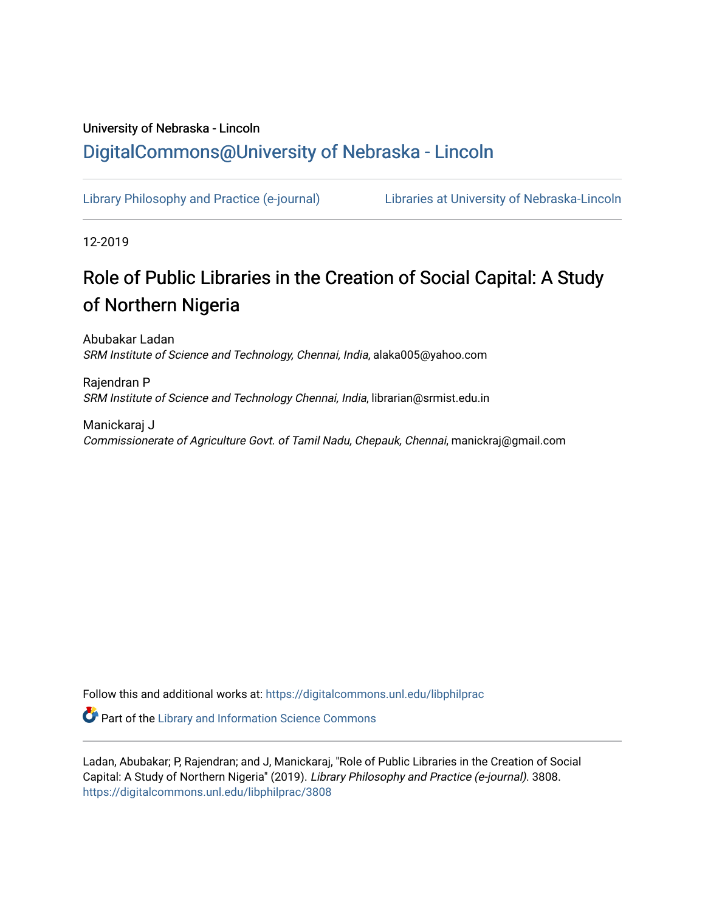# University of Nebraska - Lincoln [DigitalCommons@University of Nebraska - Lincoln](https://digitalcommons.unl.edu/)

[Library Philosophy and Practice \(e-journal\)](https://digitalcommons.unl.edu/libphilprac) [Libraries at University of Nebraska-Lincoln](https://digitalcommons.unl.edu/libraries) 

12-2019

# Role of Public Libraries in the Creation of Social Capital: A Study of Northern Nigeria

Abubakar Ladan SRM Institute of Science and Technology, Chennai, India, alaka005@yahoo.com

Rajendran P SRM Institute of Science and Technology Chennai, India, librarian@srmist.edu.in

Manickaraj J Commissionerate of Agriculture Govt. of Tamil Nadu, Chepauk, Chennai, manickraj@gmail.com

Follow this and additional works at: [https://digitalcommons.unl.edu/libphilprac](https://digitalcommons.unl.edu/libphilprac?utm_source=digitalcommons.unl.edu%2Flibphilprac%2F3808&utm_medium=PDF&utm_campaign=PDFCoverPages) 

**Part of the Library and Information Science Commons** 

Ladan, Abubakar; P, Rajendran; and J, Manickaraj, "Role of Public Libraries in the Creation of Social Capital: A Study of Northern Nigeria" (2019). Library Philosophy and Practice (e-journal). 3808. [https://digitalcommons.unl.edu/libphilprac/3808](https://digitalcommons.unl.edu/libphilprac/3808?utm_source=digitalcommons.unl.edu%2Flibphilprac%2F3808&utm_medium=PDF&utm_campaign=PDFCoverPages)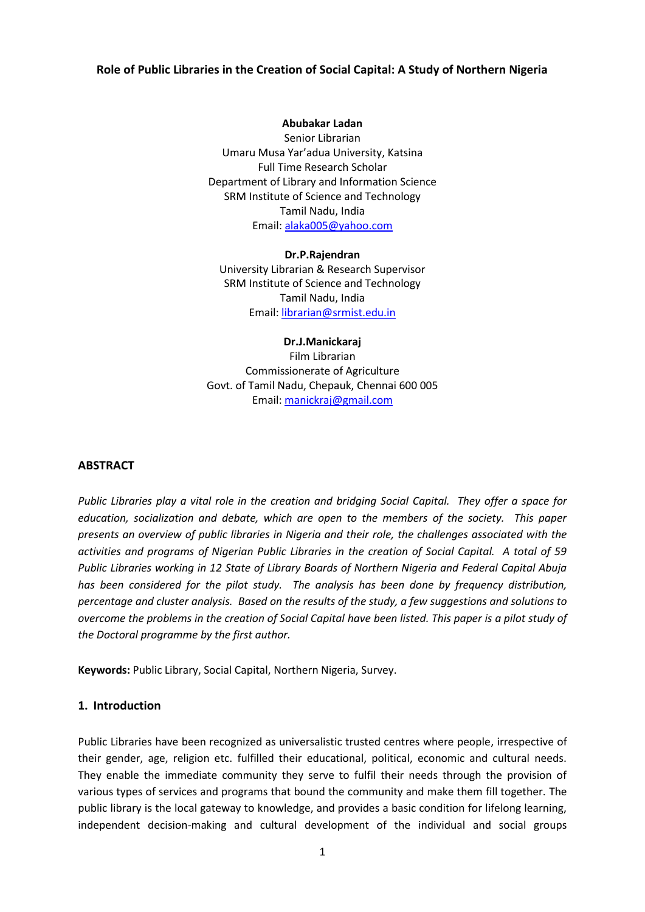#### **Role of Public Libraries in the Creation of Social Capital: A Study of Northern Nigeria**

#### **Abubakar Ladan**

Senior Librarian Umaru Musa Yar'adua University, Katsina Full Time Research Scholar Department of Library and Information Science SRM Institute of Science and Technology Tamil Nadu, India Email: [alaka005@yahoo.com](mailto:alaka005@yahoo.com)

**Dr.P.Rajendran** University Librarian & Research Supervisor SRM Institute of Science and Technology Tamil Nadu, India

Email: [librarian@srmist.edu.in](mailto:librarian@srmist.edu.in)

#### **Dr.J.Manickaraj**

Film Librarian Commissionerate of Agriculture Govt. of Tamil Nadu, Chepauk, Chennai 600 005 Email[: manickraj@gmail.com](mailto:manickraj@gmail.com)

#### **ABSTRACT**

*Public Libraries play a vital role in the creation and bridging Social Capital. They offer a space for education, socialization and debate, which are open to the members of the society. This paper presents an overview of public libraries in Nigeria and their role, the challenges associated with the activities and programs of Nigerian Public Libraries in the creation of Social Capital. A total of 59 Public Libraries working in 12 State of Library Boards of Northern Nigeria and Federal Capital Abuja has been considered for the pilot study. The analysis has been done by frequency distribution, percentage and cluster analysis. Based on the results of the study, a few suggestions and solutions to overcome the problems in the creation of Social Capital have been listed. This paper is a pilot study of the Doctoral programme by the first author.*

**Keywords:** Public Library, Social Capital, Northern Nigeria, Survey.

#### **1. Introduction**

Public Libraries have been recognized as universalistic trusted centres where people, irrespective of their gender, age, religion etc. fulfilled their educational, political, economic and cultural needs. They enable the immediate community they serve to fulfil their needs through the provision of various types of services and programs that bound the community and make them fill together. The public library is the local gateway to knowledge, and provides a basic condition for lifelong learning, independent decision-making and cultural development of the individual and social groups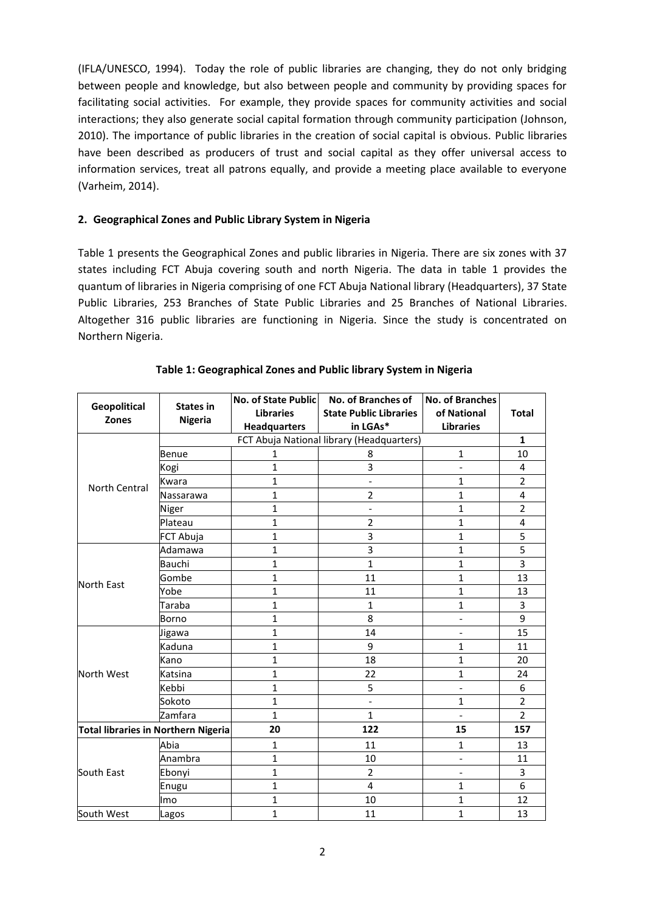(IFLA/UNESCO, 1994). Today the role of public libraries are changing, they do not only bridging between people and knowledge, but also between people and community by providing spaces for facilitating social activities. For example, they provide spaces for community activities and social interactions; they also generate social capital formation through community participation (Johnson, 2010). The importance of public libraries in the creation of social capital is obvious. Public libraries have been described as producers of trust and social capital as they offer universal access to information services, treat all patrons equally, and provide a meeting place available to everyone (Varheim, 2014).

#### **2. Geographical Zones and Public Library System in Nigeria**

Table 1 presents the Geographical Zones and public libraries in Nigeria. There are six zones with 37 states including FCT Abuja covering south and north Nigeria. The data in table 1 provides the quantum of libraries in Nigeria comprising of one FCT Abuja National library (Headquarters), 37 State Public Libraries, 253 Branches of State Public Libraries and 25 Branches of National Libraries. Altogether 316 public libraries are functioning in Nigeria. Since the study is concentrated on Northern Nigeria.

|                                     |                  | No. of State Public | No. of Branches of                        | <b>No. of Branches</b>       |                |
|-------------------------------------|------------------|---------------------|-------------------------------------------|------------------------------|----------------|
| Geopolitical<br><b>Zones</b>        | <b>States in</b> | <b>Libraries</b>    | <b>State Public Libraries</b>             | of National                  | <b>Total</b>   |
|                                     | <b>Nigeria</b>   | <b>Headquarters</b> | in LGAs*                                  | <b>Libraries</b>             |                |
|                                     |                  |                     | FCT Abuja National library (Headquarters) |                              | $\mathbf{1}$   |
|                                     | <b>Benue</b>     | 1                   | 8                                         | $\mathbf{1}$                 | 10             |
|                                     | Kogi             | $\mathbf{1}$        | 3                                         | $\overline{\phantom{0}}$     | 4              |
| North Central                       | Kwara            | $\mathbf{1}$        |                                           | $\mathbf{1}$                 | $\overline{2}$ |
|                                     | Nassarawa        | $\mathbf{1}$        | $\overline{2}$                            | $\mathbf{1}$                 | $\overline{4}$ |
|                                     | Niger            | $\mathbf{1}$        | $\overline{\phantom{0}}$                  | $\mathbf{1}$                 | $\overline{2}$ |
|                                     | Plateau          | 1                   | $\overline{2}$                            | $\mathbf{1}$                 | 4              |
|                                     | FCT Abuja        | $\mathbf{1}$        | 3                                         | $\mathbf{1}$                 | 5              |
|                                     | Adamawa          | 1                   | 3                                         | $\mathbf{1}$                 | $\overline{5}$ |
| <b>North East</b>                   | <b>Bauchi</b>    | $\mathbf{1}$        | $\mathbf{1}$                              | $\mathbf{1}$                 | 3              |
|                                     | Gombe            | $\mathbf{1}$        | 11                                        | $\mathbf{1}$                 | 13             |
|                                     | Yobe             | $\mathbf{1}$        | 11                                        | $\mathbf{1}$                 | 13             |
|                                     | Taraba           | $\mathbf{1}$        | 1                                         | $\mathbf{1}$                 | 3              |
|                                     | Borno            | $\mathbf{1}$        | 8                                         | $\overline{\phantom{0}}$     | 9              |
|                                     | Jigawa           | $\mathbf{1}$        | 14                                        | $\overline{a}$               | 15             |
|                                     | Kaduna           | $\mathbf{1}$        | 9                                         | $\mathbf{1}$                 | 11             |
|                                     | Kano             | $\mathbf{1}$        | 18                                        | $\mathbf{1}$                 | 20             |
| North West                          | Katsina          | $\mathbf{1}$        | 22                                        | $\mathbf{1}$                 | 24             |
|                                     | Kebbi            | $\mathbf{1}$        | 5                                         | $\overline{\phantom{0}}$     | 6              |
|                                     | Sokoto           | $\mathbf{1}$        | $\overline{\phantom{0}}$                  | $\mathbf{1}$                 | $\overline{2}$ |
|                                     | Zamfara          | $\mathbf{1}$        | $\mathbf{1}$                              | $\overline{\phantom{a}}$     | $\overline{2}$ |
| Total libraries in Northern Nigeria |                  | 20                  | 122                                       | 15                           | 157            |
|                                     | Abia             | 1                   | 11                                        | $\mathbf{1}$                 | 13             |
|                                     | Anambra          | $\mathbf{1}$        | 10                                        | $\overline{\phantom{a}}$     | 11             |
| South East                          | Ebonyi           | $\mathbf{1}$        | $\overline{2}$                            | $\qquad \qquad \blacksquare$ | 3              |
|                                     | Enugu            | $\mathbf{1}$        | 4                                         | $\mathbf{1}$                 | 6              |
|                                     | lmo              | 1                   | 10                                        | $\mathbf{1}$                 | 12             |
| South West                          | Lagos            | $\mathbf{1}$        | 11                                        | $\mathbf{1}$                 | 13             |

#### **Table 1: Geographical Zones and Public library System in Nigeria**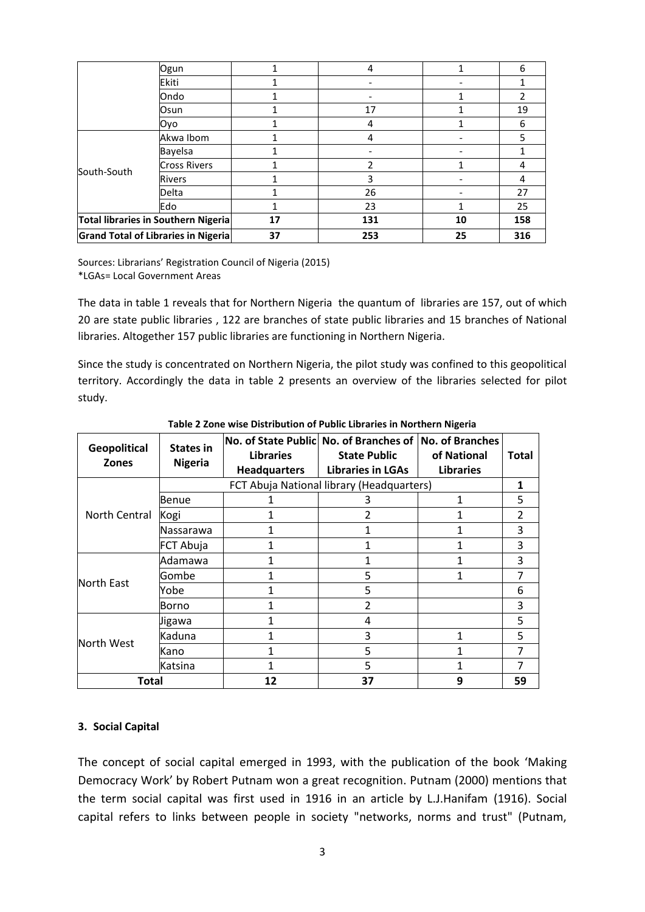|                                     | Oyo                 |    | 4   |    | 6   |
|-------------------------------------|---------------------|----|-----|----|-----|
|                                     | Akwa Ibom           |    | 4   |    | 5   |
|                                     | <b>Bayelsa</b>      |    |     |    |     |
|                                     | <b>Cross Rivers</b> |    |     |    | 4   |
| South-South                         | <b>Rivers</b>       |    | 3   |    |     |
|                                     | Delta               |    | 26  |    | 27  |
|                                     | Edo                 |    | 23  |    | 25  |
| Total libraries in Southern Nigeria |                     | 17 | 131 | 10 | 158 |
| Grand Total of Libraries in Nigeria |                     | 37 | 253 | 25 | 316 |

Sources: Librarians' Registration Council of Nigeria (2015) \*LGAs= Local Government Areas

The data in table 1 reveals that for Northern Nigeria the quantum of libraries are 157, out of which 20 are state public libraries , 122 are branches of state public libraries and 15 branches of National libraries. Altogether 157 public libraries are functioning in Northern Nigeria.

Since the study is concentrated on Northern Nigeria, the pilot study was confined to this geopolitical territory. Accordingly the data in table 2 presents an overview of the libraries selected for pilot study.

| <b>Geopolitical</b><br><b>Zones</b> | <b>States in</b><br><b>Nigeria</b> | <b>Libraries</b><br><b>Headquarters</b>   | No. of State Public No. of Branches of No. of Branches<br><b>State Public</b><br><b>Libraries in LGAs</b> | of National<br><b>Libraries</b> | <b>Total</b>   |
|-------------------------------------|------------------------------------|-------------------------------------------|-----------------------------------------------------------------------------------------------------------|---------------------------------|----------------|
|                                     |                                    | FCT Abuja National library (Headquarters) |                                                                                                           |                                 |                |
|                                     | Benue                              |                                           | 3                                                                                                         | 1                               | 5              |
| North Central                       | Kogi                               |                                           | 2                                                                                                         |                                 | $\overline{2}$ |
|                                     | Nassarawa                          |                                           |                                                                                                           | 1                               | 3              |
|                                     | FCT Abuja                          |                                           |                                                                                                           |                                 | 3              |
|                                     | Adamawa                            |                                           |                                                                                                           |                                 | 3              |
| North East                          | Gombe                              |                                           | 5                                                                                                         | 1                               | 7              |
|                                     | Yobe                               |                                           | 5                                                                                                         |                                 | 6              |
|                                     | Borno                              |                                           | 2                                                                                                         |                                 | 3              |
|                                     | Jigawa                             |                                           | 4                                                                                                         |                                 | 5              |
| North West                          | Kaduna                             |                                           | 3                                                                                                         |                                 | 5              |
|                                     | Kano                               |                                           | 5                                                                                                         |                                 | 7              |
|                                     | Katsina                            |                                           | 5                                                                                                         |                                 |                |
| Total                               |                                    | 12                                        | 37                                                                                                        | 9                               | 59             |

**Table 2 Zone wise Distribution of Public Libraries in Northern Nigeria**

#### **3. Social Capital**

The concept of social capital emerged in 1993, with the publication of the book 'Making Democracy Work' by Robert Putnam won a great recognition. Putnam (2000) mentions that the term social capital was first used in 1916 in an article by L.J.Hanifam (1916). Social capital refers to links between people in society "networks, norms and trust" (Putnam,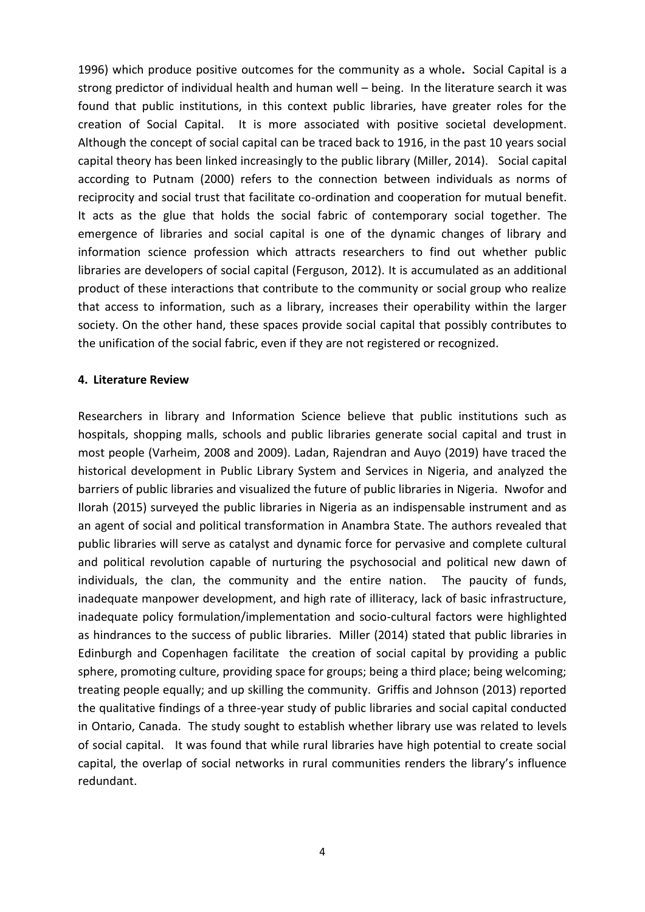1996) which produce positive outcomes for the community as a whole**.** Social Capital is a strong predictor of individual health and human well – being. In the literature search it was found that public institutions, in this context public libraries, have greater roles for the creation of Social Capital. It is more associated with positive societal development. Although the concept of social capital can be traced back to 1916, in the past 10 years social capital theory has been linked increasingly to the public library (Miller, 2014). Social capital according to Putnam (2000) refers to the connection between individuals as norms of reciprocity and social trust that facilitate co-ordination and cooperation for mutual benefit. It acts as the glue that holds the social fabric of contemporary social together. The emergence of libraries and social capital is one of the dynamic changes of library and information science profession which attracts researchers to find out whether public libraries are developers of social capital (Ferguson, 2012). It is accumulated as an additional product of these interactions that contribute to the community or social group who realize that access to information, such as a library, increases their operability within the larger society. On the other hand, these spaces provide social capital that possibly contributes to the unification of the social fabric, even if they are not registered or recognized.

#### **4. Literature Review**

Researchers in library and Information Science believe that public institutions such as hospitals, shopping malls, schools and public libraries generate social capital and trust in most people (Varheim, 2008 and 2009). Ladan, Rajendran and Auyo (2019) have traced the historical development in Public Library System and Services in Nigeria, and analyzed the barriers of public libraries and visualized the future of public libraries in Nigeria. Nwofor and Ilorah (2015) surveyed the public libraries in Nigeria as an indispensable instrument and as an agent of social and political transformation in Anambra State. The authors revealed that public libraries will serve as catalyst and dynamic force for pervasive and complete cultural and political revolution capable of nurturing the psychosocial and political new dawn of individuals, the clan, the community and the entire nation. The paucity of funds, inadequate manpower development, and high rate of illiteracy, lack of basic infrastructure, inadequate policy formulation/implementation and socio-cultural factors were highlighted as hindrances to the success of public libraries. Miller (2014) stated that public libraries in Edinburgh and Copenhagen facilitate the creation of social capital by providing a public sphere, promoting culture, providing space for groups; being a third place; being welcoming; treating people equally; and up skilling the community. Griffis and Johnson (2013) reported the qualitative findings of a three-year study of public libraries and social capital conducted in Ontario, Canada. The study sought to establish whether library use was related to levels of social capital. It was found that while rural libraries have high potential to create social capital, the overlap of social networks in rural communities renders the library's influence redundant.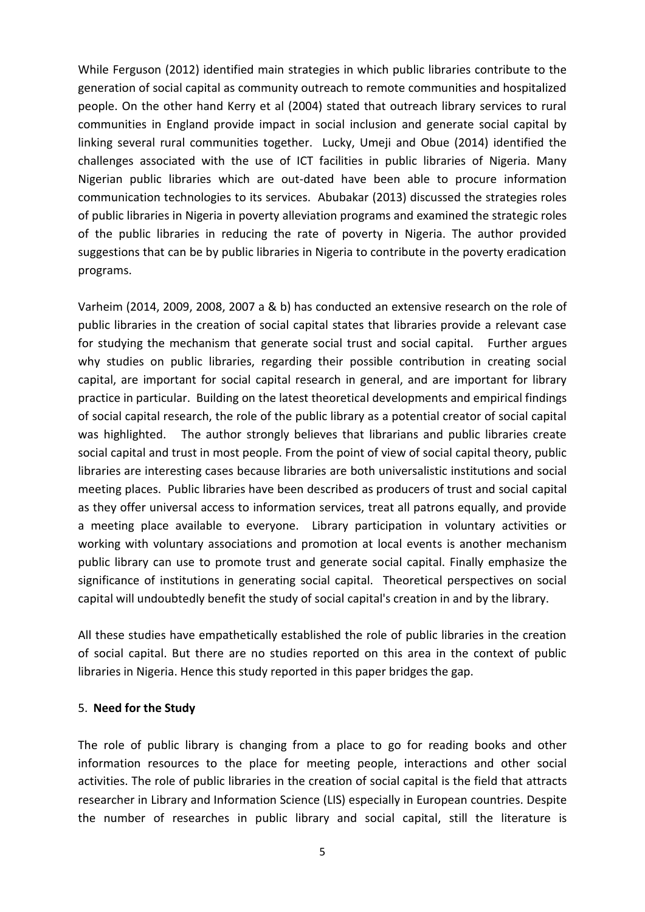While Ferguson (2012) identified main strategies in which public libraries contribute to the generation of social capital as community outreach to remote communities and hospitalized people. On the other hand Kerry et al (2004) stated that outreach library services to rural communities in England provide impact in social inclusion and generate social capital by linking several rural communities together. Lucky, Umeji and Obue (2014) identified the challenges associated with the use of ICT facilities in public libraries of Nigeria. Many Nigerian public libraries which are out-dated have been able to procure information communication technologies to its services. Abubakar (2013) discussed the strategies roles of public libraries in Nigeria in poverty alleviation programs and examined the strategic roles of the public libraries in reducing the rate of poverty in Nigeria. The author provided suggestions that can be by public libraries in Nigeria to contribute in the poverty eradication programs.

Varheim (2014, 2009, 2008, 2007 a & b) has conducted an extensive research on the role of public libraries in the creation of social capital states that libraries provide a relevant case for studying the mechanism that generate social trust and social capital. Further argues why studies on public libraries, regarding their possible contribution in creating social capital, are important for social capital research in general, and are important for library practice in particular. Building on the latest theoretical developments and empirical findings of social capital research, the role of the public library as a potential creator of social capital was highlighted. The author strongly believes that librarians and public libraries create social capital and trust in most people. From the point of view of social capital theory, public libraries are interesting cases because libraries are both universalistic institutions and social meeting places. Public libraries have been described as producers of trust and social capital as they offer universal access to information services, treat all patrons equally, and provide a meeting place available to everyone. Library participation in voluntary activities or working with voluntary associations and promotion at local events is another mechanism public library can use to promote trust and generate social capital. Finally emphasize the significance of institutions in generating social capital. Theoretical perspectives on social capital will undoubtedly benefit the study of social capital's creation in and by the library.

All these studies have empathetically established the role of public libraries in the creation of social capital. But there are no studies reported on this area in the context of public libraries in Nigeria. Hence this study reported in this paper bridges the gap.

#### 5. **Need for the Study**

The role of public library is changing from a place to go for reading books and other information resources to the place for meeting people, interactions and other social activities. The role of public libraries in the creation of social capital is the field that attracts researcher in Library and Information Science (LIS) especially in European countries. Despite the number of researches in public library and social capital, still the literature is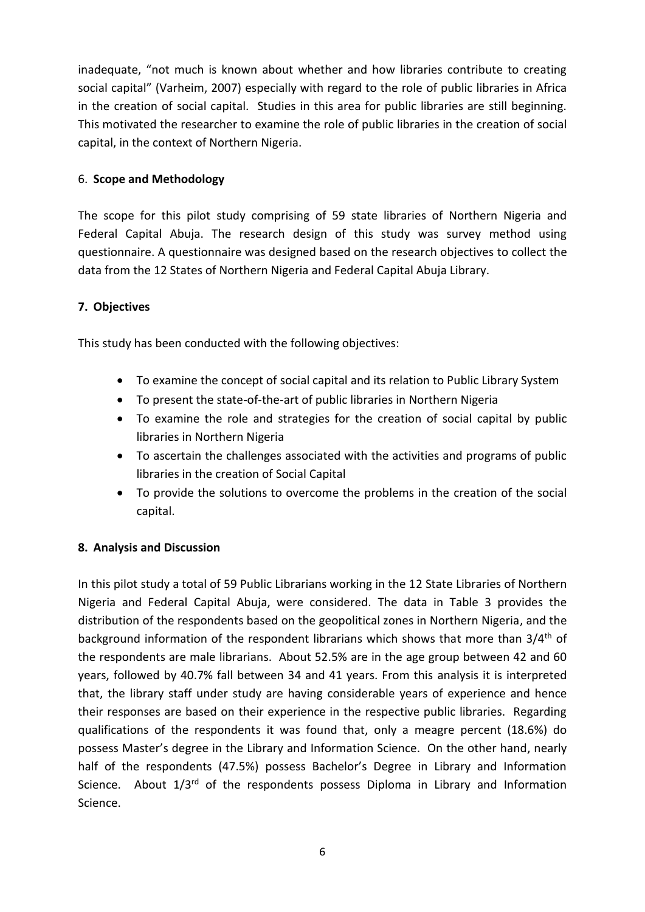inadequate, "not much is known about whether and how libraries contribute to creating social capital" (Varheim, 2007) especially with regard to the role of public libraries in Africa in the creation of social capital. Studies in this area for public libraries are still beginning. This motivated the researcher to examine the role of public libraries in the creation of social capital, in the context of Northern Nigeria.

# 6. **Scope and Methodology**

The scope for this pilot study comprising of 59 state libraries of Northern Nigeria and Federal Capital Abuja. The research design of this study was survey method using questionnaire. A questionnaire was designed based on the research objectives to collect the data from the 12 States of Northern Nigeria and Federal Capital Abuja Library.

# **7. Objectives**

This study has been conducted with the following objectives:

- To examine the concept of social capital and its relation to Public Library System
- To present the state-of-the-art of public libraries in Northern Nigeria
- To examine the role and strategies for the creation of social capital by public libraries in Northern Nigeria
- To ascertain the challenges associated with the activities and programs of public libraries in the creation of Social Capital
- To provide the solutions to overcome the problems in the creation of the social capital.

## **8. Analysis and Discussion**

In this pilot study a total of 59 Public Librarians working in the 12 State Libraries of Northern Nigeria and Federal Capital Abuja, were considered. The data in Table 3 provides the distribution of the respondents based on the geopolitical zones in Northern Nigeria, and the background information of the respondent librarians which shows that more than 3/4<sup>th</sup> of the respondents are male librarians. About 52.5% are in the age group between 42 and 60 years, followed by 40.7% fall between 34 and 41 years. From this analysis it is interpreted that, the library staff under study are having considerable years of experience and hence their responses are based on their experience in the respective public libraries. Regarding qualifications of the respondents it was found that, only a meagre percent (18.6%) do possess Master's degree in the Library and Information Science. On the other hand, nearly half of the respondents (47.5%) possess Bachelor's Degree in Library and Information Science. About  $1/3^{rd}$  of the respondents possess Diploma in Library and Information Science.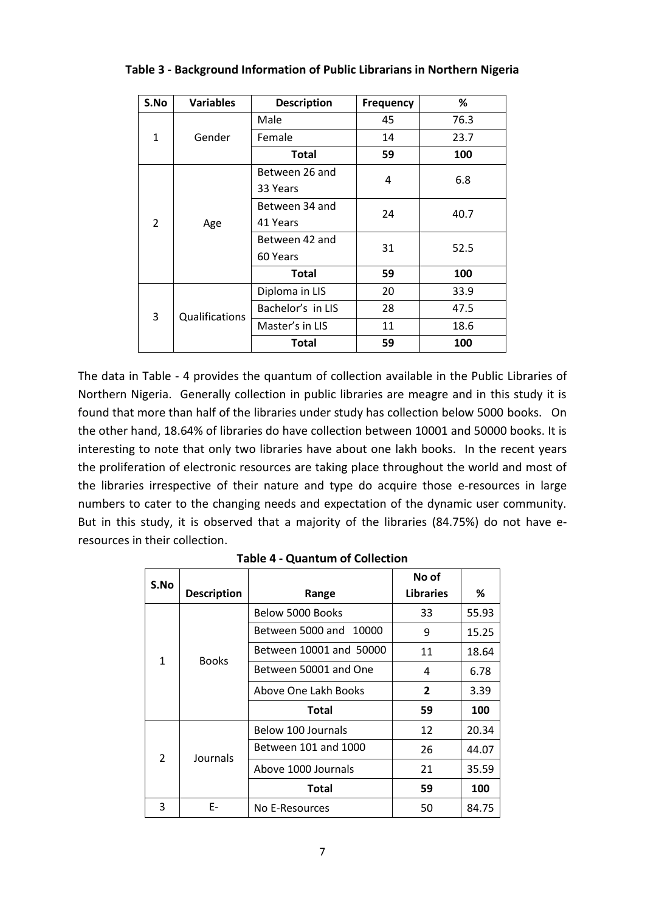| S.No           | <b>Variables</b> | <b>Description</b> | Frequency | %    |  |
|----------------|------------------|--------------------|-----------|------|--|
|                |                  | Male               | 45        | 76.3 |  |
| $\mathbf{1}$   | Gender           | Female             | 14        | 23.7 |  |
|                |                  | <b>Total</b>       | 59        | 100  |  |
|                |                  | Between 26 and     | 4         | 6.8  |  |
| $\overline{2}$ | Age              | 33 Years           |           |      |  |
|                |                  | Between 34 and     | 24        | 40.7 |  |
|                |                  | 41 Years           |           |      |  |
|                |                  | Between 42 and     | 31        | 52.5 |  |
|                |                  | 60 Years           |           |      |  |
|                |                  | <b>Total</b>       | 59        | 100  |  |
|                |                  | Diploma in LIS     | 20        | 33.9 |  |
| 3              | Qualifications   | Bachelor's in LIS  | 28        | 47.5 |  |
|                |                  | Master's in LIS    | 11        | 18.6 |  |
|                |                  | <b>Total</b>       | 59        | 100  |  |

#### **Table 3 - Background Information of Public Librarians in Northern Nigeria**

The data in Table - 4 provides the quantum of collection available in the Public Libraries of Northern Nigeria. Generally collection in public libraries are meagre and in this study it is found that more than half of the libraries under study has collection below 5000 books. On the other hand, 18.64% of libraries do have collection between 10001 and 50000 books. It is interesting to note that only two libraries have about one lakh books. In the recent years the proliferation of electronic resources are taking place throughout the world and most of the libraries irrespective of their nature and type do acquire those e-resources in large numbers to cater to the changing needs and expectation of the dynamic user community. But in this study, it is observed that a majority of the libraries (84.75%) do not have eresources in their collection.

| S.No          |                    |                         | No of            |       |
|---------------|--------------------|-------------------------|------------------|-------|
|               | <b>Description</b> | Range                   | <b>Libraries</b> | %     |
|               |                    | Below 5000 Books        | 33               | 55.93 |
|               |                    | Between 5000 and 10000  | 9                | 15.25 |
| 1             | <b>Books</b>       | Between 10001 and 50000 | 11               | 18.64 |
|               |                    | Between 50001 and One   | 4                | 6.78  |
|               |                    | Above One Lakh Books    | $\overline{2}$   | 3.39  |
|               |                    | <b>Total</b>            | 59               | 100   |
|               |                    | Below 100 Journals      | 12               | 20.34 |
| $\mathcal{P}$ |                    | Between 101 and 1000    | 26               | 44.07 |
|               | Journals           | Above 1000 Journals     | 21               | 35.59 |
|               |                    | <b>Total</b>            | 59               | 100   |
| 3             | E-                 | No E-Resources          | 50               | 84.75 |

|  | <b>Table 4 - Quantum of Collection</b> |  |
|--|----------------------------------------|--|
|--|----------------------------------------|--|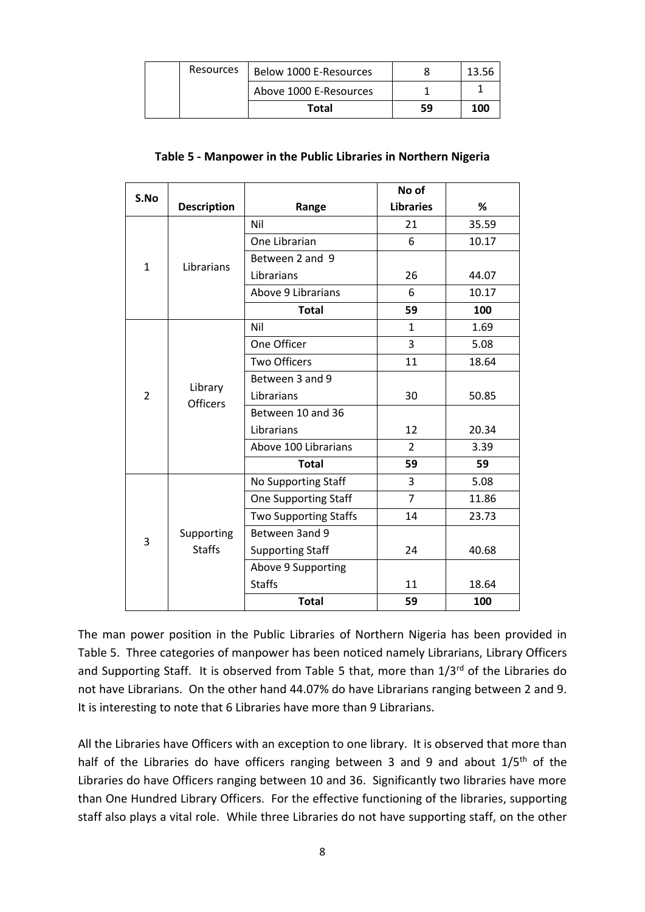| Resources | Below 1000 E-Resources |    |     |
|-----------|------------------------|----|-----|
|           | Above 1000 E-Resources |    |     |
|           | Total                  | 59 | 100 |

#### **Table 5 - Manpower in the Public Libraries in Northern Nigeria**

| S.No         |                                              |                              | No of            |       |
|--------------|----------------------------------------------|------------------------------|------------------|-------|
|              | <b>Description</b>                           | Range                        | <b>Libraries</b> | %     |
|              |                                              | Nil                          | 21               | 35.59 |
|              |                                              | One Librarian                | 6                | 10.17 |
| $\mathbf{1}$ | Librarians                                   | Between 2 and 9              |                  |       |
|              |                                              | Librarians                   | 26               | 44.07 |
|              |                                              | Above 9 Librarians           | 6                | 10.17 |
|              |                                              | <b>Total</b>                 | 59               | 100   |
|              |                                              | Nil                          | $\mathbf{1}$     | 1.69  |
|              |                                              | One Officer                  | 3                | 5.08  |
|              | Library<br>$\overline{2}$<br><b>Officers</b> | <b>Two Officers</b>          | 11               | 18.64 |
|              |                                              | Between 3 and 9              |                  |       |
|              |                                              | Librarians                   | 30               | 50.85 |
|              |                                              | Between 10 and 36            |                  |       |
|              |                                              | Librarians                   | 12               | 20.34 |
|              |                                              | Above 100 Librarians         | $\overline{2}$   | 3.39  |
|              |                                              | <b>Total</b>                 | 59               | 59    |
|              |                                              | No Supporting Staff          | 3                | 5.08  |
|              |                                              | <b>One Supporting Staff</b>  | $\overline{7}$   | 11.86 |
|              |                                              | <b>Two Supporting Staffs</b> | 14               | 23.73 |
| 3            | Supporting                                   | Between 3and 9               |                  |       |
|              | <b>Staffs</b>                                | <b>Supporting Staff</b>      | 24               | 40.68 |
|              |                                              | Above 9 Supporting           |                  |       |
|              |                                              | <b>Staffs</b>                | 11               | 18.64 |
|              |                                              | <b>Total</b>                 | 59               | 100   |

The man power position in the Public Libraries of Northern Nigeria has been provided in Table 5. Three categories of manpower has been noticed namely Librarians, Library Officers and Supporting Staff. It is observed from Table 5 that, more than 1/3rd of the Libraries do not have Librarians. On the other hand 44.07% do have Librarians ranging between 2 and 9. It is interesting to note that 6 Libraries have more than 9 Librarians.

All the Libraries have Officers with an exception to one library. It is observed that more than half of the Libraries do have officers ranging between 3 and 9 and about 1/5<sup>th</sup> of the Libraries do have Officers ranging between 10 and 36. Significantly two libraries have more than One Hundred Library Officers. For the effective functioning of the libraries, supporting staff also plays a vital role. While three Libraries do not have supporting staff, on the other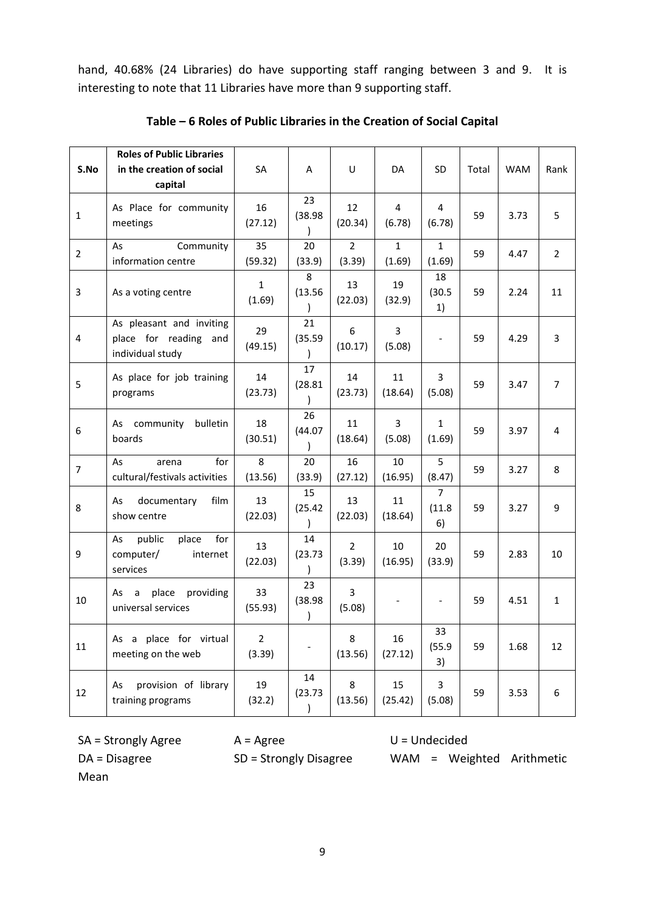hand, 40.68% (24 Libraries) do have supporting staff ranging between 3 and 9. It is interesting to note that 11 Libraries have more than 9 supporting staff.

|                | <b>Roles of Public Libraries</b>                                      |                          |                                |                          |                        |                                |       |            |                |
|----------------|-----------------------------------------------------------------------|--------------------------|--------------------------------|--------------------------|------------------------|--------------------------------|-------|------------|----------------|
| S.No           | in the creation of social                                             | SA                       | A                              | U                        | DA                     | <b>SD</b>                      | Total | <b>WAM</b> | Rank           |
|                | capital                                                               |                          |                                |                          |                        |                                |       |            |                |
| $\mathbf{1}$   | As Place for community<br>meetings                                    | 16<br>(27.12)            | 23<br>(38.98)<br>$\mathcal{C}$ | 12<br>(20.34)            | 4<br>(6.78)            | 4<br>(6.78)                    | 59    | 3.73       | 5              |
| $\overline{2}$ | Community<br>As<br>information centre                                 | 35<br>(59.32)            | 20<br>(33.9)                   | $\overline{2}$<br>(3.39) | $\mathbf{1}$<br>(1.69) | $\mathbf{1}$<br>(1.69)         | 59    | 4.47       | $\overline{2}$ |
| 3              | As a voting centre                                                    | $\mathbf{1}$<br>(1.69)   | 8<br>(13.56)<br>$\mathcal{E}$  | 13<br>(22.03)            | 19<br>(32.9)           | 18<br>(30.5)<br>1)             | 59    | 2.24       | 11             |
| $\overline{4}$ | As pleasant and inviting<br>place for reading and<br>individual study | 29<br>(49.15)            | 21<br>(35.59)<br>$\mathcal{E}$ | 6<br>(10.17)             | 3<br>(5.08)            |                                | 59    | 4.29       | 3              |
| 5              | As place for job training<br>programs                                 | 14<br>(23.73)            | 17<br>(28.81)                  | 14<br>(23.73)            | 11<br>(18.64)          | 3<br>(5.08)                    | 59    | 3.47       | $\overline{7}$ |
| 6              | As community<br>bulletin<br>boards                                    | 18<br>(30.51)            | 26<br>(44.07)<br>$\lambda$     | 11<br>(18.64)            | 3<br>(5.08)            | $\mathbf{1}$<br>(1.69)         | 59    | 3.97       | 4              |
| $\overline{7}$ | for<br>As<br>arena<br>cultural/festivals activities                   | 8<br>(13.56)             | 20<br>(33.9)                   | 16<br>(27.12)            | 10<br>(16.95)          | 5<br>(8.47)                    | 59    | 3.27       | 8              |
| 8              | film<br>As<br>documentary<br>show centre                              | 13<br>(22.03)            | 15<br>(25.42)<br>$\mathcal{E}$ | 13<br>(22.03)            | 11<br>(18.64)          | $\overline{7}$<br>(11.8)<br>6) | 59    | 3.27       | 9              |
| 9              | public<br>for<br>As<br>place<br>computer/<br>internet<br>services     | 13<br>(22.03)            | 14<br>(23.73)<br>$\mathcal{E}$ | $\overline{2}$<br>(3.39) | 10<br>(16.95)          | 20<br>(33.9)                   | 59    | 2.83       | 10             |
| 10             | providing<br>place<br>As<br>a<br>universal services                   | 33<br>(55.93)            | 23<br>(38.98)<br>$\lambda$     | 3<br>(5.08)              |                        |                                | 59    | 4.51       | $\mathbf{1}$   |
| 11             | As a place for virtual<br>meeting on the web                          | $\overline{2}$<br>(3.39) |                                | 8<br>(13.56)             | 16<br>(27.12)          | 33<br>(55.9)<br>3)             | 59    | 1.68       | 12             |
| 12             | provision of library<br>As<br>training programs                       | 19<br>(32.2)             | 14<br>(23.73)<br>$\mathcal{E}$ | 8<br>(13.56)             | 15<br>(25.42)          | 3<br>(5.08)                    | 59    | 3.53       | 6              |

#### **Table – 6 Roles of Public Libraries in the Creation of Social Capital**

Mean

 $SA =$  Strongly Agree  $A =$  Agree  $U =$  Undecided

DA = Disagree SD = Strongly Disagree WAM = Weighted Arithmetic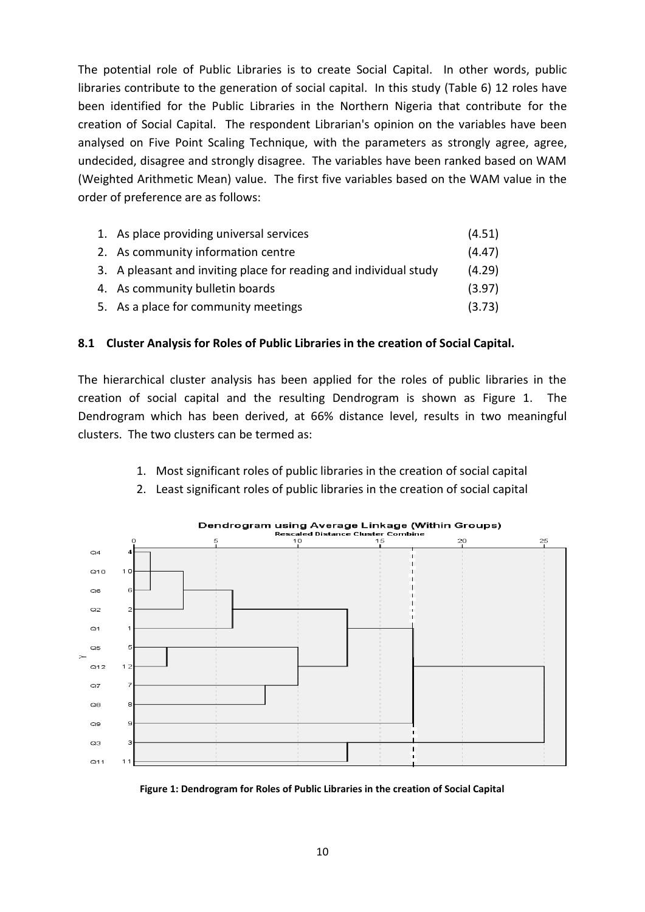The potential role of Public Libraries is to create Social Capital. In other words, public libraries contribute to the generation of social capital. In this study (Table 6) 12 roles have been identified for the Public Libraries in the Northern Nigeria that contribute for the creation of Social Capital. The respondent Librarian's opinion on the variables have been analysed on Five Point Scaling Technique, with the parameters as strongly agree, agree, undecided, disagree and strongly disagree. The variables have been ranked based on WAM (Weighted Arithmetic Mean) value. The first five variables based on the WAM value in the order of preference are as follows:

| 1. As place providing universal services                          | (4.51) |
|-------------------------------------------------------------------|--------|
| 2. As community information centre                                | (4.47) |
| 3. A pleasant and inviting place for reading and individual study | (4.29) |
| 4. As community bulletin boards                                   | (3.97) |
| 5. As a place for community meetings                              | (3.73) |

#### **8.1 Cluster Analysis for Roles of Public Libraries in the creation of Social Capital.**

The hierarchical cluster analysis has been applied for the roles of public libraries in the creation of social capital and the resulting Dendrogram is shown as Figure 1. The Dendrogram which has been derived, at 66% distance level, results in two meaningful clusters. The two clusters can be termed as:

1. Most significant roles of public libraries in the creation of social capital





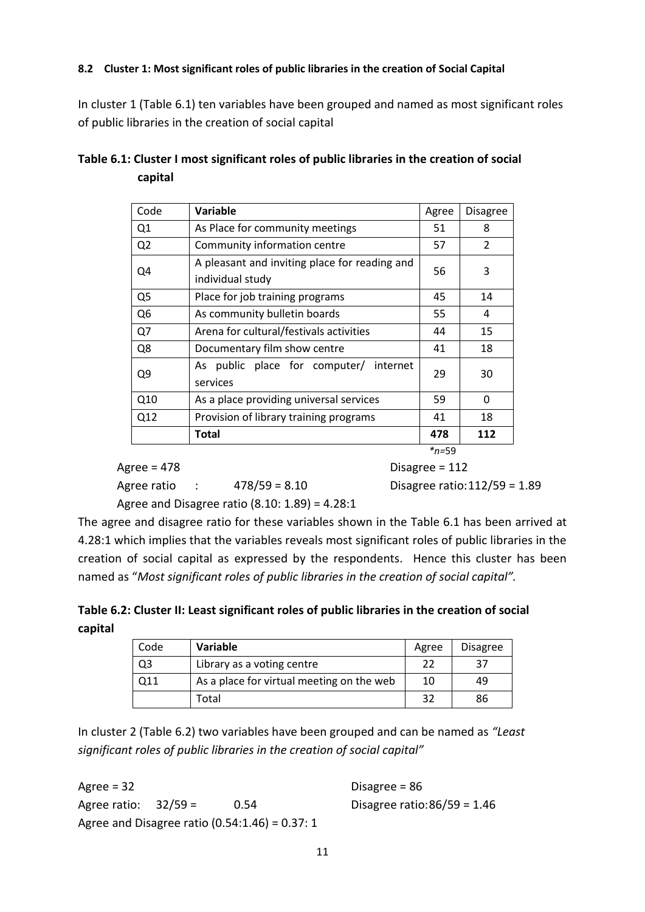#### **8.2 Cluster 1: Most significant roles of public libraries in the creation of Social Capital**

In cluster 1 (Table 6.1) ten variables have been grouped and named as most significant roles of public libraries in the creation of social capital

| Code           | Variable                                                          | Agree      | Disagree |
|----------------|-------------------------------------------------------------------|------------|----------|
| Q <sub>1</sub> | As Place for community meetings                                   | 51         | 8        |
| Q <sub>2</sub> | Community information centre                                      | 57         | 2        |
| Q4             | A pleasant and inviting place for reading and<br>individual study | 56         | 3        |
| Q <sub>5</sub> | Place for job training programs                                   | 45         | 14       |
| Q6             | As community bulletin boards                                      | 55         | 4        |
| Q7             | Arena for cultural/festivals activities                           | 44         | 15       |
| Q8             | Documentary film show centre                                      | 41         | 18       |
| Q9             | As public place for computer/ internet<br>services                | 29         | 30       |
| Q10            | As a place providing universal services                           | 59         | 0        |
| Q12            | Provision of library training programs                            | 41         | 18       |
|                | Total                                                             | 478        | 112      |
|                |                                                                   | $*_{n=59}$ |          |

| Table 6.1: Cluster I most significant roles of public libraries in the creation of social |  |
|-------------------------------------------------------------------------------------------|--|
| capital                                                                                   |  |

| Agree = 478 |  |                                                  | Disagree = $112$                |  |
|-------------|--|--------------------------------------------------|---------------------------------|--|
| Agree ratio |  | $478/59 = 8.10$                                  | Disagree ratio: $112/59 = 1.89$ |  |
|             |  | Agree and Disagree ratio $(8.10: 1.89) = 4.28:1$ |                                 |  |

The agree and disagree ratio for these variables shown in the Table 6.1 has been arrived at 4.28:1 which implies that the variables reveals most significant roles of public libraries in the creation of social capital as expressed by the respondents. Hence this cluster has been named as "*Most significant roles of public libraries in the creation of social capital".* 

**Table 6.2: Cluster II: Least significant roles of public libraries in the creation of social capital**

| Code | Variable                                  | Agree | <b>Disagree</b> |
|------|-------------------------------------------|-------|-----------------|
| Q3   | Library as a voting centre                | 22    | 37              |
| 011  | As a place for virtual meeting on the web | 10    | 49              |
|      | Total                                     | 32    | 86              |

In cluster 2 (Table 6.2) two variables have been grouped and can be named as *"Least significant roles of public libraries in the creation of social capital"*

Agree = 32 Disagree = 86 Agree ratio: 32/59 = 0.54 Disagree ratio:86/59 = 1.46 Agree and Disagree ratio (0.54:1.46) = 0.37: 1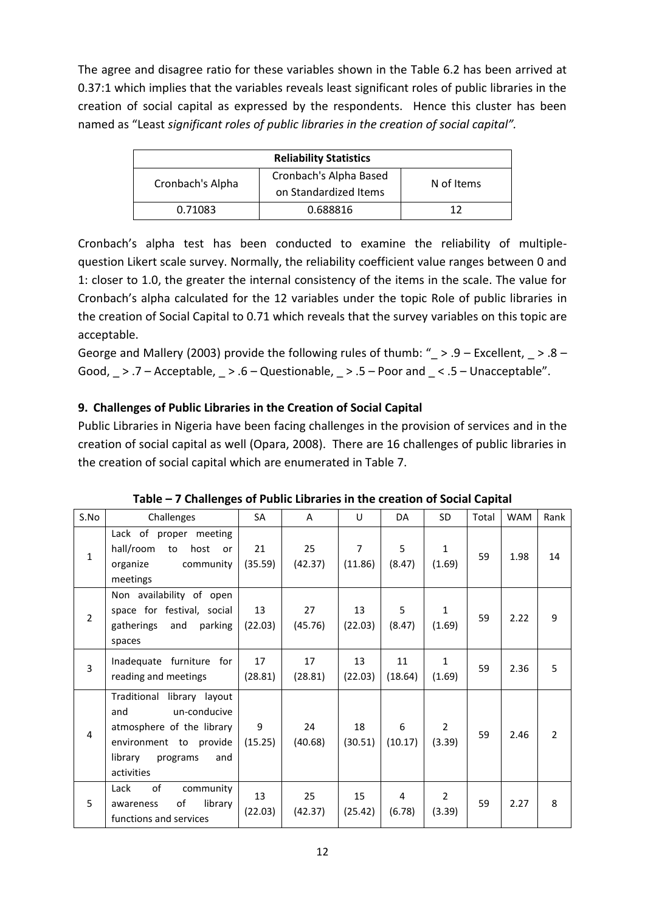The agree and disagree ratio for these variables shown in the Table 6.2 has been arrived at 0.37:1 which implies that the variables reveals least significant roles of public libraries in the creation of social capital as expressed by the respondents. Hence this cluster has been named as "Least *significant roles of public libraries in the creation of social capital".*

| <b>Reliability Statistics</b> |                        |            |  |  |  |  |  |
|-------------------------------|------------------------|------------|--|--|--|--|--|
| Cronbach's Alpha              | Cronbach's Alpha Based | N of Items |  |  |  |  |  |
|                               | on Standardized Items  |            |  |  |  |  |  |
| 0.71083                       | 0.688816               | 17         |  |  |  |  |  |

Cronbach's alpha test has been conducted to examine the reliability of multiplequestion Likert scale survey. Normally, the reliability coefficient value ranges between 0 and 1: closer to 1.0, the greater the internal consistency of the items in the scale. The value for Cronbach's alpha calculated for the 12 variables under the topic Role of public libraries in the creation of Social Capital to 0.71 which reveals that the survey variables on this topic are acceptable.

George and Mallery (2003) provide the following rules of thumb: "  $> 0.9$  – Excellent,  $> 0.8$  – Good,  $\geq$  .7 – Acceptable,  $\geq$  .6 – Questionable,  $\geq$  .5 – Poor and  $\leq$  .5 – Unacceptable".

# **9. Challenges of Public Libraries in the Creation of Social Capital**

Public Libraries in Nigeria have been facing challenges in the provision of services and in the creation of social capital as well (Opara, 2008). There are 16 challenges of public libraries in the creation of social capital which are enumerated in Table 7.

| S.No           | Challenges                                                                                                                                           | SA            | A             | U                         | DA            | SD                       | Total | <b>WAM</b> | Rank           |
|----------------|------------------------------------------------------------------------------------------------------------------------------------------------------|---------------|---------------|---------------------------|---------------|--------------------------|-------|------------|----------------|
| $\mathbf{1}$   | Lack of proper meeting<br>hall/room<br>host<br>to<br>or<br>organize<br>community<br>meetings                                                         | 21<br>(35.59) | 25<br>(42.37) | $\overline{7}$<br>(11.86) | 5<br>(8.47)   | $\mathbf{1}$<br>(1.69)   | 59    | 1.98       | 14             |
| $\overline{2}$ | Non availability of open<br>space for festival, social<br>gatherings<br>and<br>parking<br>spaces                                                     | 13<br>(22.03) | 27<br>(45.76) | 13<br>(22.03)             | 5<br>(8.47)   | $\mathbf{1}$<br>(1.69)   | 59    | 2.22       | 9              |
| 3              | Inadequate furniture<br>for<br>reading and meetings                                                                                                  | 17<br>(28.81) | 17<br>(28.81) | 13<br>(22.03)             | 11<br>(18.64) | $\mathbf{1}$<br>(1.69)   | 59    | 2.36       | 5              |
| $\overline{4}$ | Traditional library layout<br>un-conducive<br>and<br>atmosphere of the library<br>environment to provide<br>library<br>programs<br>and<br>activities | 9<br>(15.25)  | 24<br>(40.68) | 18<br>(30.51)             | 6<br>(10.17)  | $\overline{2}$<br>(3.39) | 59    | 2.46       | $\overline{2}$ |
| 5              | of<br>Lack<br>community<br>of<br>library<br>awareness<br>functions and services                                                                      | 13<br>(22.03) | 25<br>(42.37) | 15<br>(25.42)             | 4<br>(6.78)   | 2<br>(3.39)              | 59    | 2.27       | 8              |

**Table – 7 Challenges of Public Libraries in the creation of Social Capital**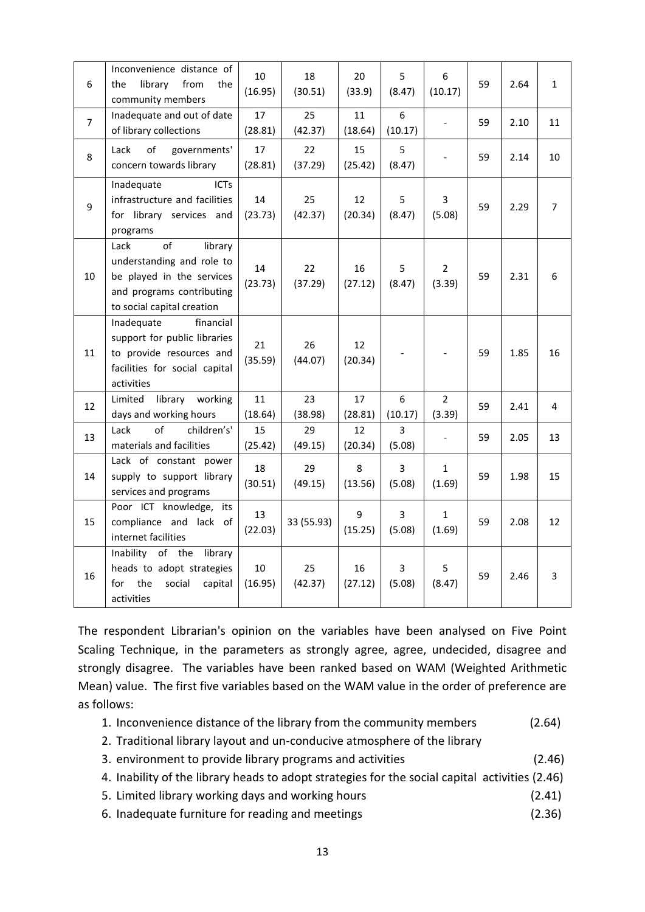| 6              | Inconvenience distance of<br>library<br>from<br>the<br>the<br>community members                                                            | 10<br>(16.95) | 18<br>(30.51) | 20<br>(33.9)  | 5<br>(8.47)              | 6<br>(10.17)             | 59 | 2.64 | $\mathbf{1}$   |
|----------------|--------------------------------------------------------------------------------------------------------------------------------------------|---------------|---------------|---------------|--------------------------|--------------------------|----|------|----------------|
| $\overline{7}$ | Inadequate and out of date<br>of library collections                                                                                       | 17<br>(28.81) | 25<br>(42.37) | 11<br>(18.64) | 6<br>(10.17)             |                          | 59 | 2.10 | 11             |
| 8              | of<br>Lack<br>governments'<br>concern towards library                                                                                      | 17<br>(28.81) | 22<br>(37.29) | 15<br>(25.42) | 5<br>(8.47)              |                          | 59 | 2.14 | 10             |
| 9              | <b>ICTs</b><br>Inadequate<br>infrastructure and facilities<br>for library services and<br>programs                                         | 14<br>(23.73) | 25<br>(42.37) | 12<br>(20.34) | 5<br>(8.47)              | 3<br>(5.08)              | 59 | 2.29 | $\overline{7}$ |
| 10             | of<br>Lack<br>library<br>understanding and role to<br>be played in the services<br>and programs contributing<br>to social capital creation | 14<br>(23.73) | 22<br>(37.29) | 16<br>(27.12) | 5<br>(8.47)              | $\overline{2}$<br>(3.39) | 59 | 2.31 | 6              |
| 11             | Inadequate<br>financial<br>support for public libraries<br>to provide resources and<br>facilities for social capital<br>activities         | 21<br>(35.59) | 26<br>(44.07) | 12<br>(20.34) |                          |                          | 59 | 1.85 | 16             |
| 12             | Limited<br>library<br>working<br>days and working hours                                                                                    | 11<br>(18.64) | 23<br>(38.98) | 17<br>(28.81) | 6<br>(10.17)             | 2<br>(3.39)              | 59 | 2.41 | 4              |
| 13             | children's'<br>Lack<br>of<br>materials and facilities                                                                                      | 15<br>(25.42) | 29<br>(49.15) | 12<br>(20.34) | 3<br>(5.08)              | $\overline{\phantom{a}}$ | 59 | 2.05 | 13             |
| 14             | Lack of constant power<br>supply to support library<br>services and programs                                                               | 18<br>(30.51) | 29<br>(49.15) | 8<br>(13.56)  | $\overline{3}$<br>(5.08) | $\mathbf{1}$<br>(1.69)   | 59 | 1.98 | 15             |
| 15             | Poor ICT knowledge,<br>its<br>compliance and lack of<br>internet facilities                                                                | 13<br>(22.03) | 33 (55.93)    | 9<br>(15.25)  | 3<br>(5.08)              | $\mathbf{1}$<br>(1.69)   | 59 | 2.08 | 12             |
| 16             | Inability of the<br>library<br>heads to adopt strategies<br>the<br>for<br>social<br>capital<br>activities                                  | 10<br>(16.95) | 25<br>(42.37) | 16<br>(27.12) | 3<br>(5.08)              | 5<br>(8.47)              | 59 | 2.46 | $\overline{3}$ |

The respondent Librarian's opinion on the variables have been analysed on Five Point Scaling Technique, in the parameters as strongly agree, agree, undecided, disagree and strongly disagree. The variables have been ranked based on WAM (Weighted Arithmetic Mean) value. The first five variables based on the WAM value in the order of preference are as follows:

- 1. Inconvenience distance of the library from the community members (2.64)
- 2. Traditional library layout and un-conducive atmosphere of the library
- 3. environment to provide library programs and activities (2.46)
- 4. Inability of the library heads to adopt strategies for the social capital activities (2.46)
- 5. Limited library working days and working hours (2.41)
- 6. Inadequate furniture for reading and meetings (2.36)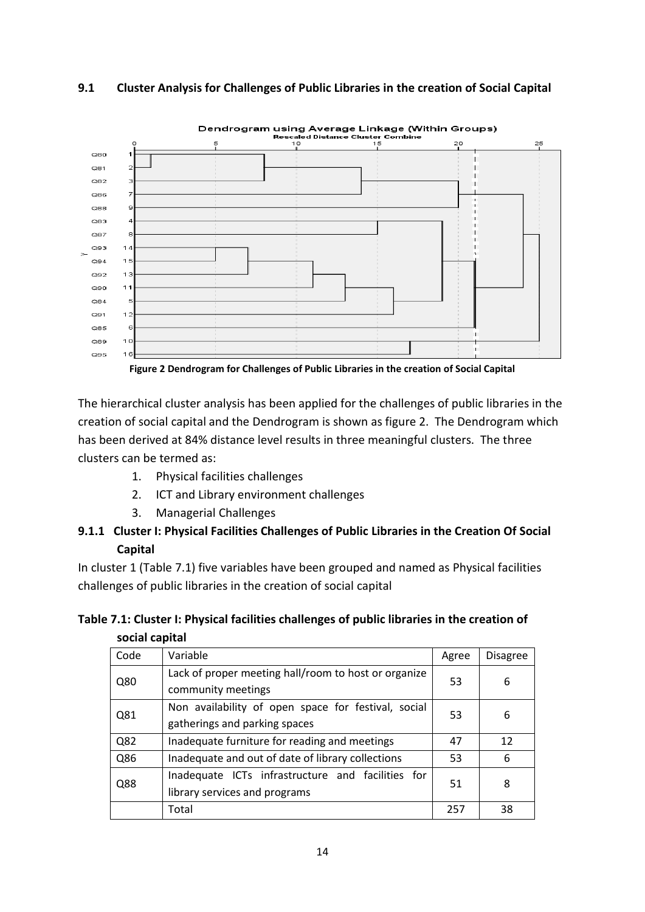#### **9.1 Cluster Analysis for Challenges of Public Libraries in the creation of Social Capital**



**Figure 2 Dendrogram for Challenges of Public Libraries in the creation of Social Capital**

The hierarchical cluster analysis has been applied for the challenges of public libraries in the creation of social capital and the Dendrogram is shown as figure 2. The Dendrogram which has been derived at 84% distance level results in three meaningful clusters. The three clusters can be termed as:

- 1. Physical facilities challenges
- 2. ICT and Library environment challenges
- 3. Managerial Challenges

# **9.1.1 Cluster I: Physical Facilities Challenges of Public Libraries in the Creation Of Social Capital**

In cluster 1 (Table 7.1) five variables have been grouped and named as Physical facilities challenges of public libraries in the creation of social capital

## **Table 7.1: Cluster I: Physical facilities challenges of public libraries in the creation of social capital**

| Code | Variable                                                                             | Agree | Disagree |
|------|--------------------------------------------------------------------------------------|-------|----------|
| Q80  | Lack of proper meeting hall/room to host or organize<br>community meetings           | 53    | 6        |
| Q81  | Non availability of open space for festival, social<br>gatherings and parking spaces |       | 6        |
| Q82  | Inadequate furniture for reading and meetings                                        | 47    | 12       |
| Q86  | Inadequate and out of date of library collections                                    | 53    | 6        |
| Q88  | Inadequate ICTs infrastructure and facilities for<br>library services and programs   | 51    | 8        |
|      | Total                                                                                | 257   | 38       |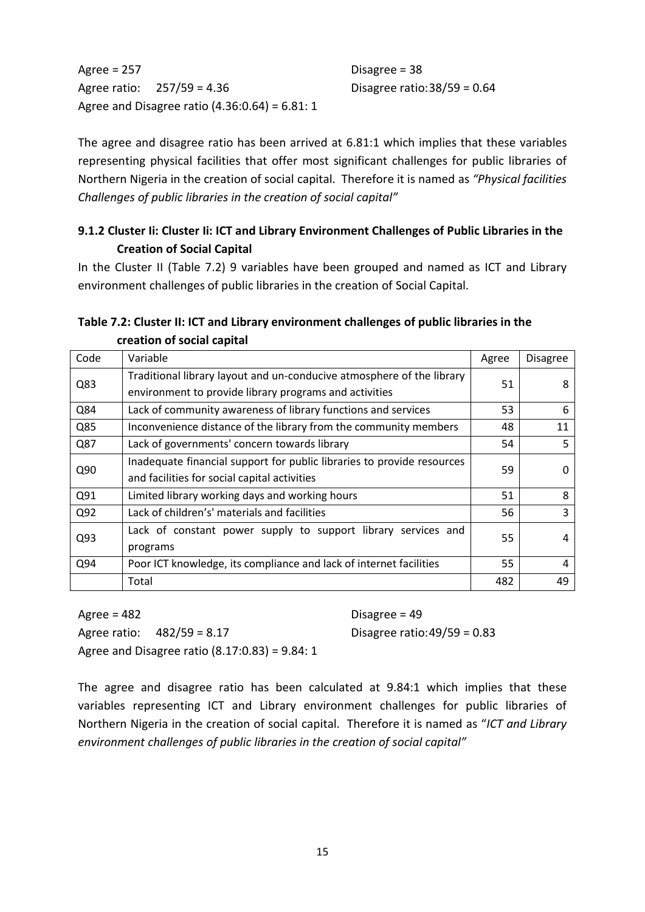Agree = 257 Disagree = 38 Agree ratio: 257/59 = 4.36 Disagree ratio:38/59 = 0.64 Agree and Disagree ratio (4.36:0.64) = 6.81: 1

The agree and disagree ratio has been arrived at 6.81:1 which implies that these variables representing physical facilities that offer most significant challenges for public libraries of Northern Nigeria in the creation of social capital. Therefore it is named as *"Physical facilities Challenges of public libraries in the creation of social capital"*

# **9.1.2 Cluster Ii: Cluster Ii: ICT and Library Environment Challenges of Public Libraries in the Creation of Social Capital**

In the Cluster II (Table 7.2) 9 variables have been grouped and named as ICT and Library environment challenges of public libraries in the creation of Social Capital.

## **Table 7.2: Cluster II: ICT and Library environment challenges of public libraries in the creation of social capital**

| Code | Variable                                                               | Agree | <b>Disagree</b> |  |
|------|------------------------------------------------------------------------|-------|-----------------|--|
| Q83  | Traditional library layout and un-conducive atmosphere of the library  |       | 8               |  |
|      | environment to provide library programs and activities                 | 51    |                 |  |
| Q84  | Lack of community awareness of library functions and services          | 53    | 6               |  |
| Q85  | Inconvenience distance of the library from the community members       | 48    | 11              |  |
| Q87  | Lack of governments' concern towards library                           | 54    | 5               |  |
| Q90  | Inadequate financial support for public libraries to provide resources |       |                 |  |
|      | and facilities for social capital activities                           | 59    |                 |  |
| Q91  | Limited library working days and working hours                         | 51    | 8               |  |
| Q92  | Lack of children's' materials and facilities                           | 56    | 3               |  |
| Q93  | Lack of constant power supply to support library services and          | 55    | 4               |  |
|      | programs                                                               |       |                 |  |
| Q94  | Poor ICT knowledge, its compliance and lack of internet facilities     | 55    | 4               |  |
|      | Total                                                                  | 482   | 49              |  |

Agree = 482 Disagree = 49 Agree ratio: 482/59 = 8.17 Disagree ratio:49/59 = 0.83 Agree and Disagree ratio (8.17:0.83) = 9.84: 1

The agree and disagree ratio has been calculated at 9.84:1 which implies that these variables representing ICT and Library environment challenges for public libraries of Northern Nigeria in the creation of social capital. Therefore it is named as "*ICT and Library environment challenges of public libraries in the creation of social capital"*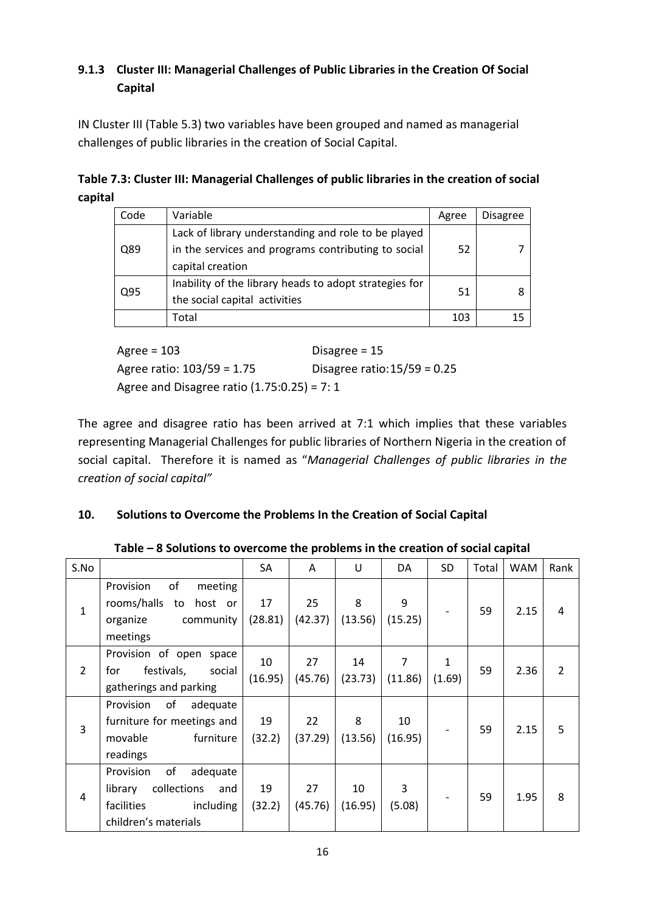# **9.1.3 Cluster III: Managerial Challenges of Public Libraries in the Creation Of Social Capital**

IN Cluster III (Table 5.3) two variables have been grouped and named as managerial challenges of public libraries in the creation of Social Capital.

**Table 7.3: Cluster III: Managerial Challenges of public libraries in the creation of social capital**

| Code | Variable                                               | Agree | <b>Disagree</b> |
|------|--------------------------------------------------------|-------|-----------------|
|      | Lack of library understanding and role to be played    |       |                 |
| Q89  | in the services and programs contributing to social    | 52    |                 |
|      | capital creation                                       |       |                 |
| Q95  | Inability of the library heads to adopt strategies for | 51    |                 |
|      | the social capital activities                          |       |                 |
|      | Total                                                  | 103   | 15              |

Agree = 103 Disagree = 15 Agree ratio: 103/59 = 1.75 Disagree ratio:15/59 = 0.25 Agree and Disagree ratio  $(1.75:0.25) = 7:1$ 

The agree and disagree ratio has been arrived at 7:1 which implies that these variables representing Managerial Challenges for public libraries of Northern Nigeria in the creation of social capital. Therefore it is named as "*Managerial Challenges of public libraries in the creation of social capital"*

# **10. Solutions to Overcome the Problems In the Creation of Social Capital**

| S.No           |                                                                                                                 | SA            | A             | U             | DA            | <b>SD</b>              | Total | <b>WAM</b> | Rank           |
|----------------|-----------------------------------------------------------------------------------------------------------------|---------------|---------------|---------------|---------------|------------------------|-------|------------|----------------|
| $\mathbf{1}$   | of<br>Provision<br>meeting<br>rooms/halls<br>host or<br>to<br>community<br>organize<br>meetings                 | 17<br>(28.81) | 25<br>(42.37) | 8<br>(13.56)  | 9<br>(15.25)  |                        | 59    | 2.15       | 4              |
| $\overline{2}$ | Provision of open<br>space<br>for<br>festivals,<br>social<br>gatherings and parking                             | 10<br>(16.95) | 27<br>(45.76) | 14<br>(23.73) | 7<br>(11.86)  | $\mathbf{1}$<br>(1.69) | 59    | 2.36       | $\overline{2}$ |
| 3              | Provision<br>of<br>adequate<br>furniture for meetings and<br>movable<br>furniture<br>readings                   | 19<br>(32.2)  | 22<br>(37.29) | 8<br>(13.56)  | 10<br>(16.95) |                        | 59    | 2.15       | 5              |
| 4              | of<br>Provision<br>adequate<br>collections<br>library<br>and<br>facilities<br>including<br>children's materials | 19<br>(32.2)  | 27<br>(45.76) | 10<br>(16.95) | 3<br>(5.08)   |                        | 59    | 1.95       | 8              |

**Table – 8 Solutions to overcome the problems in the creation of social capital**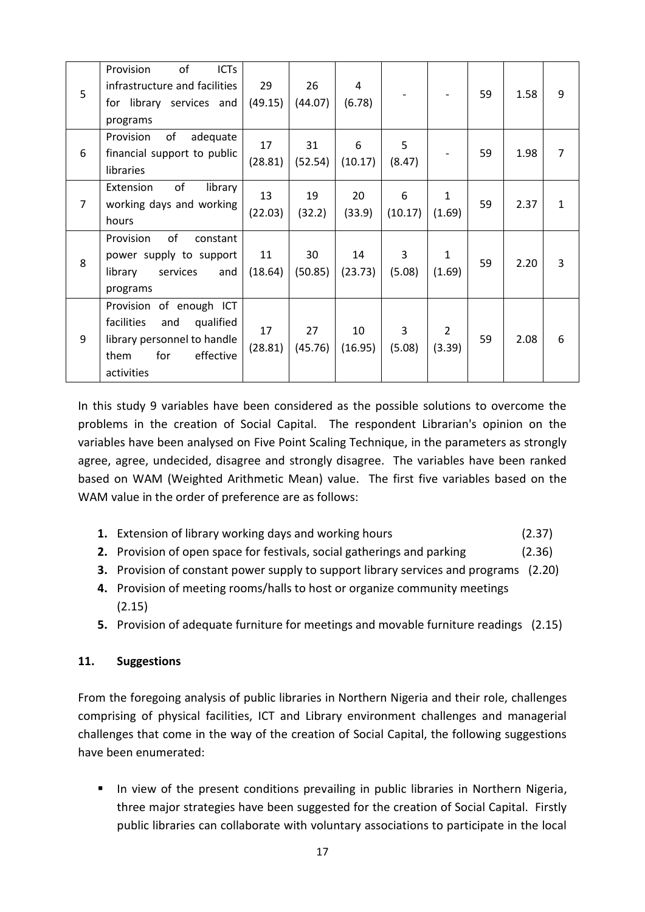| 5              | of<br><b>ICTs</b><br>Provision<br>infrastructure and facilities<br>for library services and<br>programs                            | 29<br>(49.15) | 26<br>(44.07) | 4<br>(6.78)   |                          |                          | 59 | 1.58 | 9              |
|----------------|------------------------------------------------------------------------------------------------------------------------------------|---------------|---------------|---------------|--------------------------|--------------------------|----|------|----------------|
| 6              | Provision<br>of<br>adequate<br>financial support to public<br>libraries                                                            | 17<br>(28.81) | 31<br>(52.54) | 6<br>(10.17)  | 5<br>(8.47)              |                          | 59 | 1.98 | $\overline{7}$ |
| $\overline{7}$ | of<br>Extension<br>library<br>working days and working<br>hours                                                                    | 13<br>(22.03) | 19<br>(32.2)  | 20<br>(33.9)  | 6<br>(10.17)             | $\mathbf{1}$<br>(1.69)   | 59 | 2.37 | $\mathbf{1}$   |
| 8              | of<br>Provision<br>constant<br>power supply to support<br>services<br>library<br>and<br>programs                                   | 11<br>(18.64) | 30<br>(50.85) | 14<br>(23.73) | 3<br>(5.08)              | $\mathbf{1}$<br>(1.69)   | 59 | 2.20 | 3              |
| 9              | Provision of enough ICT<br>facilities<br>and<br>qualified<br>library personnel to handle<br>for<br>effective<br>them<br>activities | 17<br>(28.81) | 27<br>(45.76) | 10<br>(16.95) | $\overline{3}$<br>(5.08) | $\overline{2}$<br>(3.39) | 59 | 2.08 | 6              |

In this study 9 variables have been considered as the possible solutions to overcome the problems in the creation of Social Capital. The respondent Librarian's opinion on the variables have been analysed on Five Point Scaling Technique, in the parameters as strongly agree, agree, undecided, disagree and strongly disagree. The variables have been ranked based on WAM (Weighted Arithmetic Mean) value. The first five variables based on the WAM value in the order of preference are as follows:

- **1.** Extension of library working days and working hours (2.37)
- **2.** Provision of open space for festivals, social gatherings and parking (2.36)
- **3.** Provision of constant power supply to support library services and programs (2.20)
- **4.** Provision of meeting rooms/halls to host or organize community meetings (2.15)
- **5.** Provision of adequate furniture for meetings and movable furniture readings (2.15)

## **11. Suggestions**

From the foregoing analysis of public libraries in Northern Nigeria and their role, challenges comprising of physical facilities, ICT and Library environment challenges and managerial challenges that come in the way of the creation of Social Capital, the following suggestions have been enumerated:

■ In view of the present conditions prevailing in public libraries in Northern Nigeria, three major strategies have been suggested for the creation of Social Capital. Firstly public libraries can collaborate with voluntary associations to participate in the local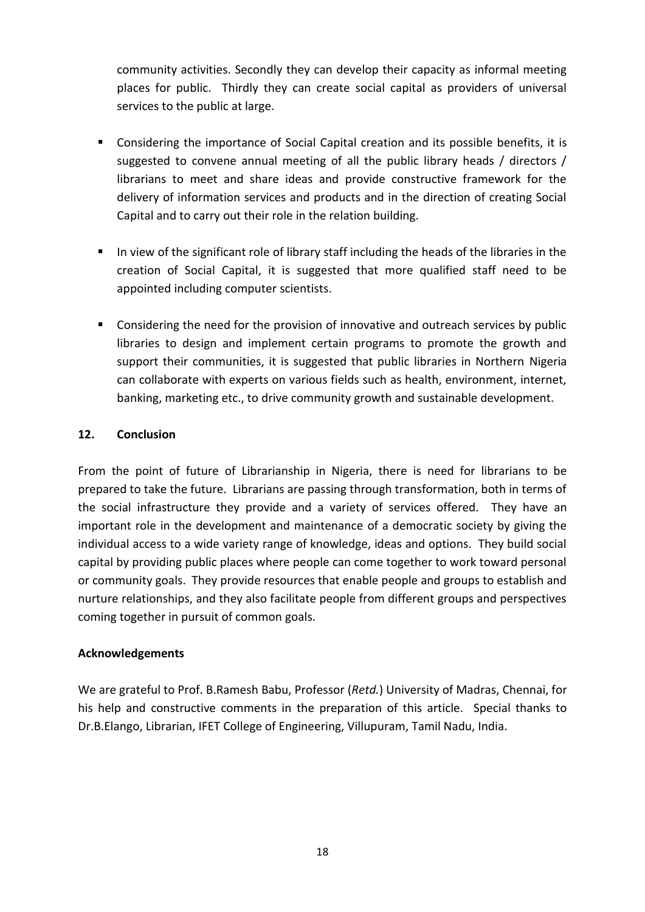community activities. Secondly they can develop their capacity as informal meeting places for public. Thirdly they can create social capital as providers of universal services to the public at large.

- Considering the importance of Social Capital creation and its possible benefits, it is suggested to convene annual meeting of all the public library heads / directors / librarians to meet and share ideas and provide constructive framework for the delivery of information services and products and in the direction of creating Social Capital and to carry out their role in the relation building.
- In view of the significant role of library staff including the heads of the libraries in the creation of Social Capital, it is suggested that more qualified staff need to be appointed including computer scientists.
- Considering the need for the provision of innovative and outreach services by public libraries to design and implement certain programs to promote the growth and support their communities, it is suggested that public libraries in Northern Nigeria can collaborate with experts on various fields such as health, environment, internet, banking, marketing etc., to drive community growth and sustainable development.

## **12. Conclusion**

From the point of future of Librarianship in Nigeria, there is need for librarians to be prepared to take the future. Librarians are passing through transformation, both in terms of the social infrastructure they provide and a variety of services offered. They have an important role in the development and maintenance of a democratic society by giving the individual access to a wide variety range of knowledge, ideas and options. They build social capital by providing public places where people can come together to work toward personal or community goals. They provide resources that enable people and groups to establish and nurture relationships, and they also facilitate people from different groups and perspectives coming together in pursuit of common goals.

## **Acknowledgements**

We are grateful to Prof. B.Ramesh Babu, Professor (*Retd.*) University of Madras, Chennai, for his help and constructive comments in the preparation of this article. Special thanks to Dr.B.Elango, Librarian, IFET College of Engineering, Villupuram, Tamil Nadu, India.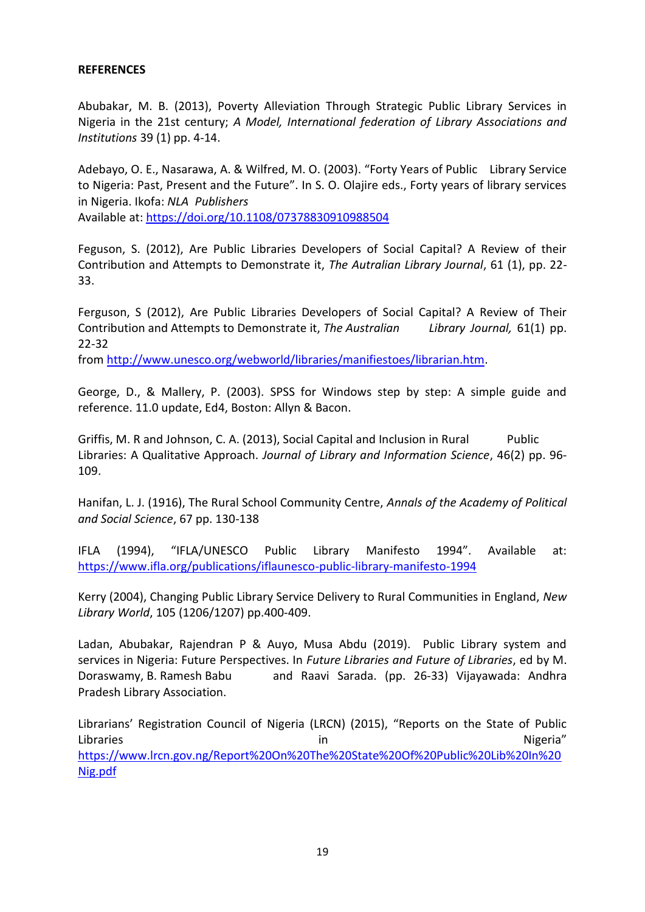#### **REFERENCES**

Abubakar, M. B. (2013), Poverty Alleviation Through Strategic Public Library Services in Nigeria in the 21st century; *A Model, International federation of Library Associations and Institutions* 39 (1) pp. 4-14.

Adebayo, O. E., Nasarawa, A. & Wilfred, M. O. (2003). "Forty Years of Public Library Service to Nigeria: Past, Present and the Future". In S. O. Olajire eds., Forty years of library services in Nigeria. Ikofa: *NLA Publishers*

Available at:<https://doi.org/10.1108/07378830910988504>

Feguson, S. (2012), Are Public Libraries Developers of Social Capital? A Review of their Contribution and Attempts to Demonstrate it, *The Autralian Library Journal*, 61 (1), pp. 22- 33.

Ferguson, S (2012), Are Public Libraries Developers of Social Capital? A Review of Their Contribution and Attempts to Demonstrate it, *The Australian Library Journal,* 61(1) pp. 22-32

from [http://www.unesco.org/webworld/libraries/manifiestoes/librarian.htm.](http://www.unesco.org/webworld/libraries/manifiestoes/librarian.htm)

George, D., & Mallery, P. (2003). SPSS for Windows step by step: A simple guide and reference. 11.0 update, Ed4, Boston: Allyn & Bacon.

Griffis, M. R and Johnson, C. A. (2013), Social Capital and Inclusion in Rural Public Libraries: A Qualitative Approach. *Journal of Library and Information Science*, 46(2) pp. 96- 109.

Hanifan, L. J. (1916), The Rural School Community Centre, *Annals of the Academy of Political and Social Science*, 67 pp. 130-138

IFLA (1994), "IFLA/UNESCO Public Library Manifesto 1994". Available at: <https://www.ifla.org/publications/iflaunesco-public-library-manifesto-1994>

Kerry (2004), Changing Public Library Service Delivery to Rural Communities in England, *New Library World*, 105 (1206/1207) pp.400-409.

Ladan, Abubakar, Rajendran P & Auyo, Musa Abdu (2019). Public Library system and services in Nigeria: Future Perspectives. In *Future Libraries and Future of Libraries*, ed by M. Doraswamy, B. Ramesh Babu and Raavi Sarada. (pp. 26-33) Vijayawada: Andhra Pradesh Library Association.

Librarians' Registration Council of Nigeria (LRCN) (2015), "Reports on the State of Public Libraries and the contract of the contract of the contract of the contract of the contract of the contract of the contract of the contract of the contract of the contract of the contract of the contract of the contract of [https://www.lrcn.gov.ng/Report%20On%20The%20State%20Of%20Public%20Lib%20In%20](https://www.lrcn.gov.ng/Report%20On%20The%20State%20Of%20Public%20Lib%20In%20Nig.pdf) [Nig.pdf](https://www.lrcn.gov.ng/Report%20On%20The%20State%20Of%20Public%20Lib%20In%20Nig.pdf)